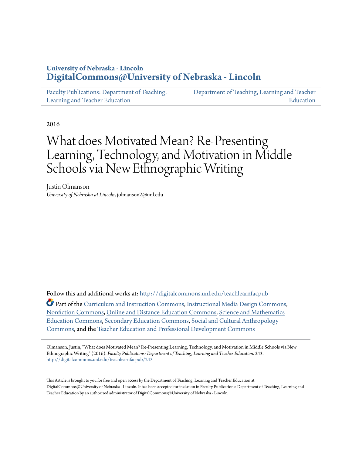# **University of Nebraska - Lincoln [DigitalCommons@University of Nebraska - Lincoln](http://digitalcommons.unl.edu?utm_source=digitalcommons.unl.edu%2Fteachlearnfacpub%2F243&utm_medium=PDF&utm_campaign=PDFCoverPages)**

| Faculty Publications: Department of Teaching, | Department of Teaching, Learning and Teacher |
|-----------------------------------------------|----------------------------------------------|
| Learning and Teacher Education                | Education                                    |

2016

# What does Motivated Mean? Re-Presenting Learning, Technology, and Motivation in Middle Schools via New Ethnographic Writing

Justin Olmanson *University of Nebraska at Lincoln*, jolmanson2@unl.edu

Follow this and additional works at: [http://digitalcommons.unl.edu/teachlearnfacpub](http://digitalcommons.unl.edu/teachlearnfacpub?utm_source=digitalcommons.unl.edu%2Fteachlearnfacpub%2F243&utm_medium=PDF&utm_campaign=PDFCoverPages) Part of the [Curriculum and Instruction Commons](http://network.bepress.com/hgg/discipline/786?utm_source=digitalcommons.unl.edu%2Fteachlearnfacpub%2F243&utm_medium=PDF&utm_campaign=PDFCoverPages), [Instructional Media Design Commons,](http://network.bepress.com/hgg/discipline/795?utm_source=digitalcommons.unl.edu%2Fteachlearnfacpub%2F243&utm_medium=PDF&utm_campaign=PDFCoverPages) [Nonfiction Commons](http://network.bepress.com/hgg/discipline/1152?utm_source=digitalcommons.unl.edu%2Fteachlearnfacpub%2F243&utm_medium=PDF&utm_campaign=PDFCoverPages), [Online and Distance Education Commons,](http://network.bepress.com/hgg/discipline/1296?utm_source=digitalcommons.unl.edu%2Fteachlearnfacpub%2F243&utm_medium=PDF&utm_campaign=PDFCoverPages) [Science and Mathematics](http://network.bepress.com/hgg/discipline/800?utm_source=digitalcommons.unl.edu%2Fteachlearnfacpub%2F243&utm_medium=PDF&utm_campaign=PDFCoverPages) [Education Commons](http://network.bepress.com/hgg/discipline/800?utm_source=digitalcommons.unl.edu%2Fteachlearnfacpub%2F243&utm_medium=PDF&utm_campaign=PDFCoverPages), [Secondary Education Commons](http://network.bepress.com/hgg/discipline/1382?utm_source=digitalcommons.unl.edu%2Fteachlearnfacpub%2F243&utm_medium=PDF&utm_campaign=PDFCoverPages), [Social and Cultural Anthropology](http://network.bepress.com/hgg/discipline/323?utm_source=digitalcommons.unl.edu%2Fteachlearnfacpub%2F243&utm_medium=PDF&utm_campaign=PDFCoverPages) [Commons,](http://network.bepress.com/hgg/discipline/323?utm_source=digitalcommons.unl.edu%2Fteachlearnfacpub%2F243&utm_medium=PDF&utm_campaign=PDFCoverPages) and the [Teacher Education and Professional Development Commons](http://network.bepress.com/hgg/discipline/803?utm_source=digitalcommons.unl.edu%2Fteachlearnfacpub%2F243&utm_medium=PDF&utm_campaign=PDFCoverPages)

Olmanson, Justin, "What does Motivated Mean? Re-Presenting Learning, Technology, and Motivation in Middle Schools via New Ethnographic Writing" (2016). *Faculty Publications: Department of Teaching, Learning and Teacher Education*. 243. [http://digitalcommons.unl.edu/teachlearnfacpub/243](http://digitalcommons.unl.edu/teachlearnfacpub/243?utm_source=digitalcommons.unl.edu%2Fteachlearnfacpub%2F243&utm_medium=PDF&utm_campaign=PDFCoverPages)

This Article is brought to you for free and open access by the Department of Teaching, Learning and Teacher Education at DigitalCommons@University of Nebraska - Lincoln. It has been accepted for inclusion in Faculty Publications: Department of Teaching, Learning and Teacher Education by an authorized administrator of DigitalCommons@University of Nebraska - Lincoln.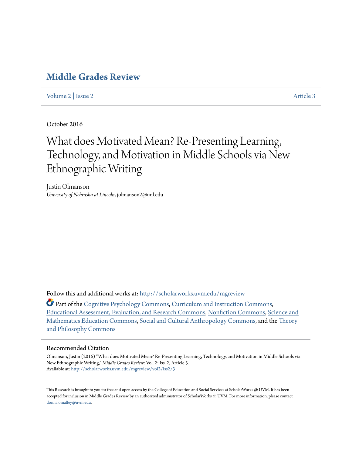# **[Middle Grades Review](http://scholarworks.uvm.edu/mgreview?utm_source=scholarworks.uvm.edu%2Fmgreview%2Fvol2%2Fiss2%2F3&utm_medium=PDF&utm_campaign=PDFCoverPages)**

[Volume 2](http://scholarworks.uvm.edu/mgreview/vol2?utm_source=scholarworks.uvm.edu%2Fmgreview%2Fvol2%2Fiss2%2F3&utm_medium=PDF&utm_campaign=PDFCoverPages) | [Issue 2](http://scholarworks.uvm.edu/mgreview/vol2/iss2?utm_source=scholarworks.uvm.edu%2Fmgreview%2Fvol2%2Fiss2%2F3&utm_medium=PDF&utm_campaign=PDFCoverPages)  $\blacksquare$ 

October 2016

# What does Motivated Mean? Re-Presenting Learning, Technology, and Motivation in Middle Schools via New Ethnographic Writing

Justin Olmanson *University of Nebraska at Lincoln*, jolmanson2@unl.edu

Follow this and additional works at: [http://scholarworks.uvm.edu/mgreview](http://scholarworks.uvm.edu/mgreview?utm_source=scholarworks.uvm.edu%2Fmgreview%2Fvol2%2Fiss2%2F3&utm_medium=PDF&utm_campaign=PDFCoverPages)

Part of the [Cognitive Psychology Commons,](http://network.bepress.com/hgg/discipline/408?utm_source=scholarworks.uvm.edu%2Fmgreview%2Fvol2%2Fiss2%2F3&utm_medium=PDF&utm_campaign=PDFCoverPages) [Curriculum and Instruction Commons](http://network.bepress.com/hgg/discipline/786?utm_source=scholarworks.uvm.edu%2Fmgreview%2Fvol2%2Fiss2%2F3&utm_medium=PDF&utm_campaign=PDFCoverPages), [Educational Assessment, Evaluation, and Research Commons](http://network.bepress.com/hgg/discipline/796?utm_source=scholarworks.uvm.edu%2Fmgreview%2Fvol2%2Fiss2%2F3&utm_medium=PDF&utm_campaign=PDFCoverPages), [Nonfiction Commons](http://network.bepress.com/hgg/discipline/1152?utm_source=scholarworks.uvm.edu%2Fmgreview%2Fvol2%2Fiss2%2F3&utm_medium=PDF&utm_campaign=PDFCoverPages), [Science and](http://network.bepress.com/hgg/discipline/800?utm_source=scholarworks.uvm.edu%2Fmgreview%2Fvol2%2Fiss2%2F3&utm_medium=PDF&utm_campaign=PDFCoverPages) [Mathematics Education Commons](http://network.bepress.com/hgg/discipline/800?utm_source=scholarworks.uvm.edu%2Fmgreview%2Fvol2%2Fiss2%2F3&utm_medium=PDF&utm_campaign=PDFCoverPages), [Social and Cultural Anthropology Commons](http://network.bepress.com/hgg/discipline/323?utm_source=scholarworks.uvm.edu%2Fmgreview%2Fvol2%2Fiss2%2F3&utm_medium=PDF&utm_campaign=PDFCoverPages), and the [Theory](http://network.bepress.com/hgg/discipline/1238?utm_source=scholarworks.uvm.edu%2Fmgreview%2Fvol2%2Fiss2%2F3&utm_medium=PDF&utm_campaign=PDFCoverPages) [and Philosophy Commons](http://network.bepress.com/hgg/discipline/1238?utm_source=scholarworks.uvm.edu%2Fmgreview%2Fvol2%2Fiss2%2F3&utm_medium=PDF&utm_campaign=PDFCoverPages)

#### Recommended Citation

Olmanson, Justin (2016) "What does Motivated Mean? Re-Presenting Learning, Technology, and Motivation in Middle Schools via New Ethnographic Writing," *Middle Grades Review*: Vol. 2: Iss. 2, Article 3. Available at: [http://scholarworks.uvm.edu/mgreview/vol2/iss2/3](http://scholarworks.uvm.edu/mgreview/vol2/iss2/3?utm_source=scholarworks.uvm.edu%2Fmgreview%2Fvol2%2Fiss2%2F3&utm_medium=PDF&utm_campaign=PDFCoverPages)

This Research is brought to you for free and open access by the College of Education and Social Services at ScholarWorks @ UVM. It has been accepted for inclusion in Middle Grades Review by an authorized administrator of ScholarWorks @ UVM. For more information, please contact [donna.omalley@uvm.edu](mailto:donna.omalley@uvm.edu).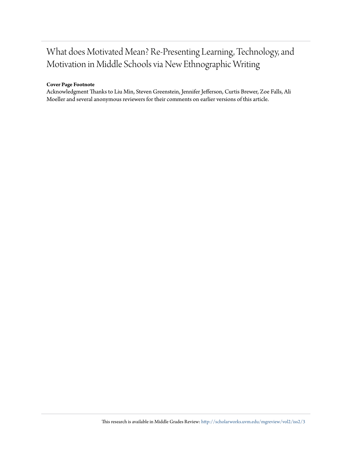# What does Motivated Mean? Re-Presenting Learning, Technology, and Motivation in Middle Schools via New Ethnographic Writing

# **Cover Page Footnote**

Acknowledgment Thanks to Liu Min, Steven Greenstein, Jennifer Jefferson, Curtis Brewer, Zoe Falls, Ali Moeller and several anonymous reviewers for their comments on earlier versions of this article.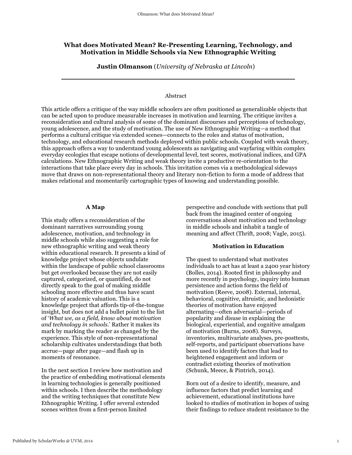# **What does Motivated Mean? Re-Presenting Learning, Technology, and Motivation in Middle Schools via New Ethnographic Writing**

**Justin Olmanson** (*University of Nebraska at Lincoln*)

#### Abstract

This article offers a critique of the way middle schoolers are often positioned as generalizable objects that can be acted upon to produce measurable increases in motivation and learning. The critique invites a reconsideration and cultural analysis of some of the dominant discourses and perceptions of technology, young adolescence, and the study of motivation. The use of New Ethnographic Writing—a method that performs a cultural critique via extended scenes—connects to the roles and status of motivation, technology, and educational research methods deployed within public schools. Coupled with weak theory, this approach offers a way to understand young adolescents as navigating and wayfaring within complex everyday ecologies that escape notions of developmental level, test scores, motivational indices, and GPA calculations. New Ethnographic Writing and weak theory invite a productive re-orientation to the interactions that take place every day in schools. This invitation comes via a methodological sideways move that draws on non-representational theory and literary non-fiction to form a mode of address that makes relational and momentarily cartographic types of knowing and understanding possible.

#### **A Map**

This study offers a reconsideration of the dominant narratives surrounding young adolescence, motivation, and technology in middle schools while also suggesting a role for new ethnographic writing and weak theory within educational research. It presents a kind of knowledge project whose objects undulate within the landscape of public school classrooms but get overlooked because they are not easily captured, categorized, or quantified, do not directly speak to the goal of making middle schooling more effective and thus have scant history of academic valuation. This is a knowledge project that affords tip-of-the-tongue insight, but does not add a bullet point to the list of '*What we, as a field, know about motivation and technology in schools.*' Rather it makes its mark by marking the reader as changed by the experience. This style of non-representational scholarship cultivates understandings that both accrue—page after page—and flash up in moments of resonance.

In the next section I review how motivation and the practice of embedding motivational elements in learning technologies is generally positioned within schools. I then describe the methodology and the writing techniques that constitute New Ethnographic Writing. I offer several extended scenes written from a first-person limited

perspective and conclude with sections that pull back from the imagined center of ongoing conversations about motivation and technology in middle schools and inhabit a tangle of meaning and affect (Thrift, 2008; Vagle, 2015).

#### **Motivation in Education**

The quest to understand what motivates individuals to act has at least a 2400 year history (Bolles, 2014). Rooted first in philosophy and more recently in psychology, inquiry into human persistence and action forms the field of motivation (Reeve, 2008). External, internal, behavioral, cognitive, altruistic, and hedonistic theories of motivation have enjoyed alternating—often adversarial—periods of popularity and disuse in explaining the biological, experiential, and cognitive amalgam of motivation (Burns, 2008). Surveys, inventories, multivariate analyses, pre-posttests, self-reports, and participant observations have been used to identify factors that lead to heightened engagement and inform or contradict existing theories of motivation (Schunk, Meece, & Pintrich, 2014).

Born out of a desire to identify, measure, and influence factors that predict learning and achievement, educational institutions have looked to studies of motivation in hopes of using their findings to reduce student resistance to the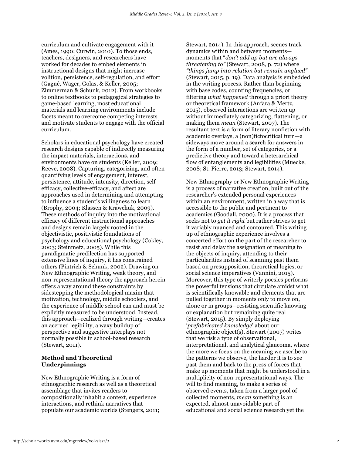curriculum and cultivate engagement with it (Ames, 1990; Curwin, 2010). To those ends, teachers, designers, and researchers have worked for decades to embed elements in instructional designs that might increase volition, persistence, self-regulation, and effort (Gagné, Wager, Golas, & Keller, 2005; Zimmerman & Schunk, 2012). From workbooks to online textbooks to pedagogical strategies to game-based learning, most educational materials and learning environments include facets meant to overcome competing interests and motivate students to engage with the official curriculum.

Scholars in educational psychology have created research designs capable of indirectly measuring the impact materials, interactions, and environments have on students (Keller, 2009; Reeve, 2008). Capturing, categorizing, and often quantifying levels of engagement, interest, persistence, attitude, intensity, direction, selfefficacy, collective-efficacy, and affect are approaches used in determining and attempting to influence a student's willingness to learn (Brophy, 2004; Klassen & Krawchuk, 2009). These methods of inquiry into the motivational efficacy of different instructional approaches and designs remain largely rooted in the objectivistic, positivistic foundations of psychology and educational psychology (Cokley, 2003; Steinmetz, 2005). While this paradigmatic predilection has supported extensive lines of inquiry, it has constrained others (Pintrich & Schunk, 2002). Drawing on New Ethnographic Writing, weak theory, and non-representational theory the approach herein offers a way around these constraints by sidestepping the methodological maxim that motivation, technology, middle schoolers, and the experience of middle school can and must be explicitly measured to be understood. Instead, this approach—realized through writing—creates an accrued legibility, a waxy buildup of perspective and suggestive interplays not normally possible in school-based research (Stewart, 2011).

# **Method and Theoretical Underpinnings**

New Ethnographic Writing is a form of ethnographic research as well as a theoretical assemblage that invites readers to compositionally inhabit a context, experience interactions, and rethink narratives that populate our academic worlds (Stengers, 2011;

Stewart, 2014). In this approach, scenes track dynamics within and between moments moments that "*don't add up but are always threatening to"* (Stewart, 2008, p. 72) where *"things jump into relation but remain unglued"* (Stewart, 2015, p. 19). Data analysis is embedded in the writing process. Rather than beginning with base codes, counting frequencies, or filtering *what happened* through a priori theory or theoretical framework (Anfara & Mertz, 2015), observed interactions are written up without immediately categorizing, flattening, or making them *mean* (Stewart, 2007). The resultant text is a form of literary nonfiction with academic overlays, a (non)fictocritical turn—a sideways move around a search for answers in the form of a number, set of categories, or a predictive theory and toward a heterarchical flow of entanglements and legibilities (Muecke, 2008; St. Pierre, 2013; Stewart, 2014).

New Ethnography or New Ethnographic Writing is a process of narrative creation, built out of the researcher's extended personal experiences within an environment, written in a way that is accessible to the public and pertinent to academics (Goodall, 2000). It is a process that seeks not to *get it right* but rather strives to get it variably nuanced and contoured. This writing up of ethnographic experience involves a concerted effort on the part of the researcher to resist and delay the assignation of meaning to the objects of inquiry, attending to their particularities instead of scanning past them based on presupposition, theoretical logics, or social science imperatives (Vannini, 2015). Moreover, this type of writerly poesies performs the powerful tensions that circulate amidst what is scientifically knowable and elements that are pulled together in moments only to move on, alone or in groups—resisting scientific knowing or explanation but remaining quite real (Stewart, 2015). By simply deploying '*prefabricated knowledge*' about our ethnographic object(s), Stewart (2007) writes that we risk a type of observational, interpretational, and analytical glaucoma, where the more we focus on the meaning we ascribe to the patterns we observe, the harder it is to see past them and back to the press of forces that make up moments that might be understood in a multiplicity of non-representational ways. The will to find meaning, to make a series of observed events, taken from a larger pool of collected moments, *mean* something is an expected, almost unavoidable part of educational and social science research yet the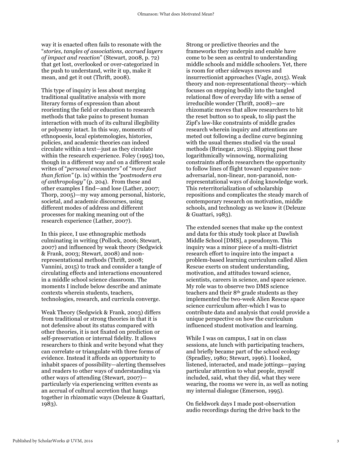way it is enacted often fails to resonate with the "*stories, tangles of associations, accrued layers of impact and reaction*" (Stewart, 2008, p. 72) that get lost, overlooked or over-categorized in the push to understand, write it up, make it mean, and get it out (Thrift, 2008).

This type of inquiry is less about merging traditional qualitative analysis with more literary forms of expression than about reorienting the field or education to research methods that take pains to present human interaction with much of its cultural illegibility or polysemy intact. In this way, moments of ethnopoesis, local epistemologies, histories, policies, and academic theories can indeed circulate within a text—just as they circulate within the research experience. Foley (1995) too, though in a different way and on a different scale writes of "*personal encounters"* of "*more fact than fiction"* (p. ix) within the *"postmodern era of anthropology"* (p. 204). From these and other examples I find—and lose (Lather, 2007; Thorp, 2005)—my way among personal, historic, societal, and academic discourses, using different modes of address and different processes for making meaning out of the research experience (Lather, 2007).

In this piece, I use ethnographic methods culminating in writing (Pollock, 2006; Stewart, 2007) and influenced by weak theory (Sedgwick & Frank, 2003; Stewart, 2008) and nonrepresentational methods (Thrift, 2008; Vannini, 2015) to track and consider a tangle of circulating effects and interactions encountered in a middle school science classroom. The moments I include below describe and animate contexts wherein students, teachers, technologies, research, and curricula converge.

Weak Theory (Sedgwick & Frank, 2003) differs from traditional or strong theories in that it is not defensive about its status compared with other theories, it is not fixated on prediction or self-preservation or internal fidelity. It allows researchers to think and write beyond what they can correlate or triangulate with three forms of evidence. Instead it affords an opportunity to inhabit spaces of possibility—alerting themselves and readers to other ways of understanding via other ways of attending (Stewart, 2007) particularly via experiencing written events as an accrual of cultural accretion that hangs together in rhizomatic ways (Deleuze & Guattari, 1983).

Strong or predictive theories and the frameworks they underpin and enable have come to be seen as central to understanding middle schools and middle schoolers. Yet, there is room for other sideways moves and insurrectionist approaches (Vagle, 2015). Weak theory and non-representational theory—which focuses on stepping bodily into the tangled relational flow of everyday life with a sense of irreducible wonder (Thrift, 2008)—are rhizomatic moves that allow researchers to hit the reset button so to speak, to slip past the Zipf's law-like constraints of middle grades research wherein inquiry and attentions are meted out following a decline curve beginning with the usual themes studied via the usual methods (Brinegar, 2015). Slipping past these logarithmically winnowing, normalizing constraints affords researchers the opportunity to follow lines of flight toward expansive nonadversarial, non-linear, non-paranoid, nonrepresentational ways of doing knowledge work. This reterritorialization of scholarship repositions and complicates the steady march of contemporary research on motivation, middle schools, and technology as we know it (Deleuze & Guattari, 1983).

The extended scenes that make up the context and data for this study took place at Dawlish Middle School [DMS], a pseudonym. This inquiry was a minor piece of a multi-district research effort to inquire into the impact a problem-based learning curriculum called Alien Rescue exerts on student understanding, motivation, and attitudes toward science, scientists, careers in science, and space science. My role was to observe two DMS science teachers and their 8th grade students as they implemented the two-week Alien Rescue space science curriculum after-which I was to contribute data and analysis that could provide a unique perspective on how the curriculum influenced student motivation and learning.

While I was on campus, I sat in on class sessions, ate lunch with participating teachers, and briefly became part of the school ecology (Spradley, 1980; Stewart, 1996). I looked, listened, interacted, and made jottings—paying particular attention to what people, myself included, said, what they did, what they were wearing, the rooms we were in, as well as noting my internal dialogue (Emerson, 1995).

On fieldwork days I made post-observation audio recordings during the drive back to the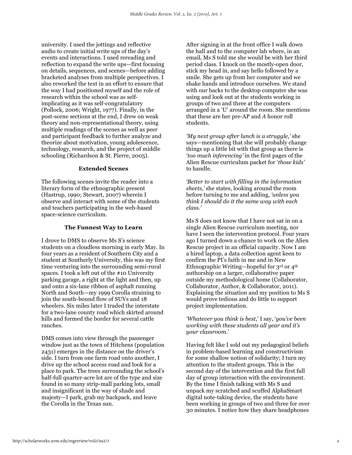university. I used the jottings and reflective audio to create initial write ups of the day's events and interactions. I used rereading and reflection to expand the write ups—first focusing on details, sequences, and scenes—before adding bracketed analyses from multiple perspectives. I also reworked the text in an effort to ensure that the way I had positioned myself and the role of research within the school was as selfimplicating as it was self-congratulatory (Pollock, 2006; Wright, 1977). Finally, in the post-scene sections at the end, I drew on weak theory and non-representational theory, using multiple readings of the scenes as well as peer and participant feedback to further analyze and theorize about motivation, young adolescence, technology, research, and the project of middle schooling (Richardson & St. Pierre, 2005).

#### **Extended Scenes**

The following scenes invite the reader into a literary form of the ethnographic present (Hastrup, 1990; Stewart, 2007) wherein I observe and interact with some of the students and teachers participating in the web-based space-science curriculum.

#### **The Funnest Way to Learn**

I drove to DMS to observe Ms S's science students on a cloudless morning in early May. In four years as a resident of Southern City and a student at Southerly University, this was my first time venturing into the surrounding semi-rural spaces. I took a left out of the #10 University parking garage, a right at the light and then, up and onto a six-lane ribbon of asphalt running North and South—my 1999 Corolla straining to join the south-bound flow of SUVs and 18 wheelers. Six miles later I traded the interstate for a two-lane county road which skirted around hills and formed the border for several cattle ranches.

DMS comes into view through the passenger window just as the town of Hitchens (population 2431) emerges in the distance on the driver's side. I turn from one farm road onto another, I drive up the school access road and look for a place to park. The trees surrounding the school's half-full quarter-acre lot are of the type and size found in so many strip-mall parking lots, small and insignificant in the way of shade and majesty—I park, grab my backpack, and leave the Corolla in the Texas sun.

After signing in at the front office I walk down the hall and to the computer lab where, in an email, Ms S told me she would be with her third period class. I knock on the mostly-open door, stick my head in, and say hello followed by a smile. She gets up from her computer and we shake hands and introduce ourselves. We stand with our backs to the desktop computer she was using and look out at the students working in groups of two and three at the computers arranged in a 'U' around the room. She mentions that these are her pre-AP and *A* honor roll students.

*'My next group after lunch is a struggle,'* she says—mentioning that she will probably change things up a little bit with that group as there is '*too much inferencing'* in the first pages of the Alien Rescue curriculum packet for '*those kids'* to handle.

*'Better to start with filling in the information sheets,'* she states, looking around the room before turning to me and adding, *'unless you think I should do it the same way with each class.'*

Ms S does not know that I have not sat in on a single Alien Rescue curriculum meeting, nor have I seen the intervention protocol. Four years ago I turned down a chance to work on the Alien Rescue project in an official capacity. Now I am a hired laptop, a data collection agent keen to confirm the PI's faith in me and in New Ethnographic Writing—hopeful for 3rd or 4th authorship on a larger, collaborative paper outside my methodological home (Collaborator, Collaborator, Author, & Collaborator, 2011). Explaining the situation and my position to Ms S would prove tedious and do little to support project implementation.

## *'Whatever you think is best*,' I say, '*you've been working with these students all year and it's your classroom.*'

Having felt like I sold out my pedagogical beliefs in problem-based learning and constructivism for some shallow notion of solidarity; I turn my attention to the student groups. This is the second day of the intervention and the first full day of group interaction with the environment. By the time I finish talking with Ms S and unpack my scratched and scuffed AlphaSmart digital note-taking device, the students have been working in groups of two and three for over 30 minutes. I notice how they share headphones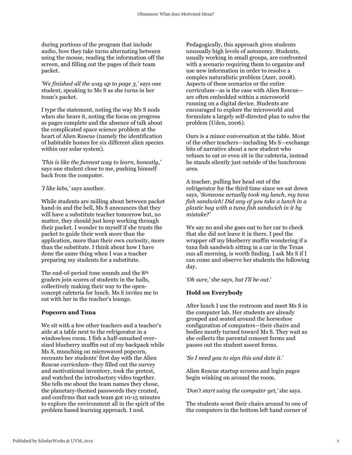during portions of the program that include audio, how they take turns alternating between using the mouse, reading the information off the screen, and filling out the pages of their team packet.

*'We finished all the way up to page 3,'* says one student, speaking to Ms S as she turns in her team's packet.

I type the statement, noting the way Ms S nods when she hears it, noting the focus on progress as pages complete and the absence of talk about the complicated space science problem at the heart of Alien Rescue (namely the identification of habitable homes for six different alien species within our solar system).

*'This is like the funnest way to learn, honestly,'* says one student close to me, pushing himself back from the computer.

#### *'I like labs,'* says another.

While students are milling about between packet hand-in and the bell, Ms S announces that they will have a substitute teacher tomorrow but, no matter, they should just keep working through their packet. I wonder to myself if she trusts the packet to guide their work more than the application, more than their own curiosity, more than the substitute. I think about how I have done the same thing when I was a teacher preparing my students for a substitute.

The end-of-period tone sounds and the 8th graders join scores of students in the halls, collectively making their way to the openconcept cafeteria for lunch. Ms S invites me to eat with her in the teacher's lounge.

#### **Popcorn and Tuna**

We sit with a few other teachers and a teacher's aide at a table next to the refrigerator in a windowless room. I fish a half-smushed oversized blueberry muffin out of my backpack while Ms S, munching on microwaved popcorn, recounts her students' first day with the Alien Rescue curriculum–they filled out the survey and motivational inventory, took the pretest, and watched the introductory video together. She tells me about the team names they chose, the planetary-themed passwords they created, and confirms that each team got 10-15 minutes to explore the environment all in the spirit of the problem based learning approach. I nod.

Pedagogically, this approach gives students unusually high levels of autonomy. Students, usually working in small groups, are confronted with a scenario requiring them to organize and use new information in order to resolve a complex naturalistic problem (Azer, 2008). Aspects of these scenarios or the entire curriculum—as is the case with Alien Rescue are often embedded within a microworld running on a digital device. Students are encouraged to explore the microworld and formulate a largely self-directed plan to solve the problem (Uden, 2006).

Ours is a minor conversation at the table. Most of the other teachers—including Ms S—exchange bits of narrative about a new student who refuses to eat or even sit in the cafeteria, instead he stands silently just outside of the lunchroom area.

A teacher, pulling her head out of the refrigerator for the third time since we sat down says, '*Someone actually took my lunch, my tuna fish sandwich! Did any of you take a lunch in a plastic bag with a tuna fish sandwich in it by mistake?'*

We say no and she goes out to her car to check that she did not leave it in there. I peel the wrapper off my blueberry muffin wondering if a tuna fish sandwich sitting in a car in the Texas sun all morning, is worth finding. I ask Ms S if I can come and observe her students the following day.

*'Oh sure,'* she says, *but I'll be out*.'

## **Hold on Everybody**

After lunch I use the restroom and meet Ms S in the computer lab. Her students are already grouped and seated around the horseshoe configuration of computers—their chairs and bodies mostly turned toward Ms S. They wait as she collects the parental consent forms and passes out the student assent forms.

#### *'So I need you to sign this and date it.'*

Alien Rescue startup screens and login pages begin winking on around the room.

*'Don't start using the computer yet,'* she says.

The students scoot their chairs around to one of the computers in the bottom left hand corner of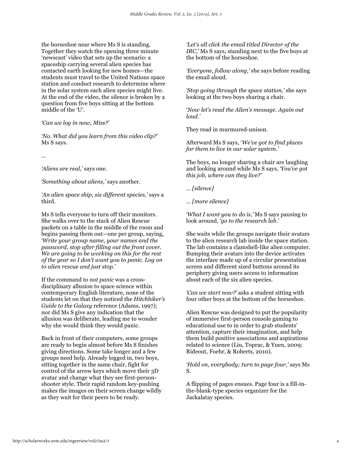the horseshoe near where Ms S is standing. Together they watch the opening three minute 'newscast' video that sets up the scenario: a spaceship carrying several alien species has contacted earth looking for new homes—the students must travel to the United Nations space station and conduct research to determine where in the solar system each alien species might live. At the end of the video, the silence is broken by a question from five boys sitting at the bottom middle of the 'U'.

#### *'Can we log in now, Miss?'*

*'No. What did you learn from this video clip?'*  Ms S says.

*…*

*'Aliens are real,'* says one.

*'Something about aliens,'* says another.

*'An alien space ship*, *six different species,'* says a third.

Ms S tells everyone to turn off their monitors. She walks over to the stack of Alien Rescue packets on a table in the middle of the room and begins passing them out—one per group, saying, *'Write your group name, your names and the password, stop after filling out the front cover. We are going to be working on this for the rest of the year so I don't want you to panic. Log on to alien rescue and just stop.'*

If the command to *not panic* was a crossdisciplinary allusion to space science within contemporary English literature, none of the students let on that they noticed the *Hitchhiker's Guide to the Galaxy* reference (Adams, 1997); nor did Ms S give any indication that the allusion was deliberate, leading me to wonder why she would think they would panic.

Back in front of their computers, some groups are ready to begin almost before Ms S finishes giving directions. Some take longer and a few groups need help. Already logged in, two boys, sitting together in the same chair, fight for control of the arrow keys which move their 3D avatar and change what they see first-personshooter style. Their rapid random key-pushing makes the images on their screen change wildly as they wait for their peers to be ready.

*'Let's all click the email titled Director of the IRC,'* Ms S says, standing next to the five boys at the bottom of the horseshoe.

*'Everyone, follow along,'* she says before reading the email aloud.

*'Stop going through the space station,'* she says looking at the two boys sharing a chair.

'*Now let's read the Alien's message. Again out loud.'*

They read in murmured-unison.

Afterward Ms S says, '*We've got to find places for them to live in our solar system.'*

The boys, no longer sharing a chair are laughing and looking around while Ms S says, *'You've got this job, where can they live?'*

*… [silence]*

*… [more silence]*

*'What I want you to do is,'* Ms S says pausing to look around, *'go to the research lab.'*

She waits while the groups navigate their avatars to the alien research lab inside the space station. The lab contains a clamshell-like alien computer. Bumping their avatars into the device activates the interface made up of a circular presentation screen and different sized buttons around its periphery giving users access to information about each of the six alien species.

*'Can we start now?'* asks a student sitting with four other boys at the bottom of the horseshoe.

Alien Rescue was designed to put the popularity of immersive first-person console gaming to educational use to in order to grab students' attention, capture their imagination, and help them build positive associations and aspirations related to science (Liu, Toprac, & Yuen, 2009; Rideout, Foehr, & Roberts, 2010).

*'Hold on, everybody; turn to page four,'* says Ms S.

A flipping of pages ensues. Page four is a fill-inthe-blank-type species organizer for the Jackalatay species.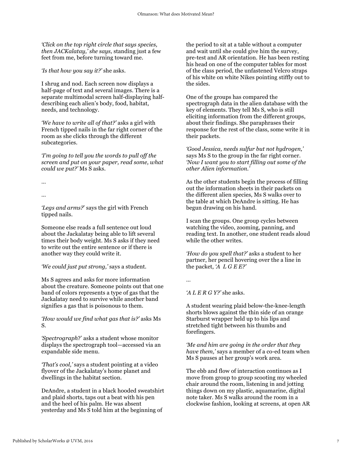*'Click on the top right circle that says species, then JACKalatay,' she says,* standing just a few feet from me, before turning toward me.

*'Is that how you say it?'* she asks.

I shrug and nod. Each screen now displays a half-page of text and several images. There is a separate multimodal screen half-displaying halfdescribing each alien's body, food, habitat, needs, and technology.

*'We have to write all of that?'* asks a girl with French tipped nails in the far right corner of the room as she clicks through the different subcategories.

*'I'm going to tell you the words to pull off the screen and put on your paper, read some, what could we put?'* Ms S asks.

…

…

*'Legs and arms?*' says the girl with French tipped nails.

Someone else reads a full sentence out loud about the Jackalatay being able to lift several times their body weight. Ms S asks if they need to write out the entire sentence or if there is another way they could write it.

*'We could just put strong,'* says a student.

Ms S agrees and asks for more information about the creature. Someone points out that one band of colors represents a type of gas that the Jackalatay need to survive while another band signifies a gas that is poisonous to them.

*'How would we find what gas that is?'* asks Ms S.

*'Spectrograph*?' asks a student whose monitor displays the spectrograph tool—accessed via an expandable side menu.

*'That's cool,'* says a student pointing at a video flyover of the Jackalatay's home planet and dwellings in the habitat section.

DeAndre, a student in a black hooded sweatshirt and plaid shorts, taps out a beat with his pen and the heel of his palm. He was absent yesterday and Ms S told him at the beginning of

the period to sit at a table without a computer and wait until she could give him the survey, pre-test and AR orientation. He has been resting his head on one of the computer tables for most of the class period, the unfastened Velcro straps of his white on white Nikes pointing stiffly out to the sides.

One of the groups has compared the spectrograph data in the alien database with the key of elements. They tell Ms S, who is still eliciting information from the different groups, about their findings. She paraphrases their response for the rest of the class, some write it in their packets.

*'Good Jessica, needs sulfur but not hydrogen,'*  says Ms S to the group in the far right corner. *'Now I want you to start filling out some of the other Alien information.'*

As the other students begin the process of filling out the information sheets in their packets on the different alien species, Ms S walks over to the table at which DeAndre is sitting. He has begun drawing on his hand.

I scan the groups. One group cycles between watching the video, zooming, panning, and reading text. In another, one student reads aloud while the other writes.

*'How do you spell that?'* asks a student to her partner, her pencil hovering over the a line in the packet, *'A L G E E?'*

*…*

*'A L E R G Y?'* she asks.

A student wearing plaid below-the-knee-length shorts blows against the thin side of an orange Starburst wrapper held up to his lips and stretched tight between his thumbs and forefingers.

*'Me and him are going in the order that they have them,'* says a member of a co-ed team when Ms S pauses at her group's work area.

The ebb and flow of interaction continues as I move from group to group scooting my wheeled chair around the room, listening in and jotting things down on my plastic, aquamarine, digital note taker. Ms S walks around the room in a clockwise fashion, looking at screens, at open AR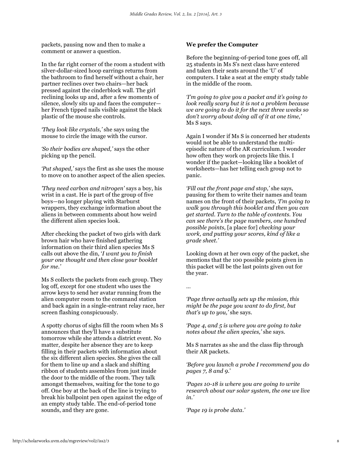packets, pausing now and then to make a comment or answer a question.

In the far right corner of the room a student with silver-dollar-sized hoop earrings returns from the bathroom to find herself without a chair, her partner reclines over two chairs—her back pressed against the cinderblock wall. The girl reclining looks up and, after a few moments of silence, slowly sits up and faces the computer her French tipped nails visible against the black plastic of the mouse she controls.

*'They look like crystals,'* she says using the mouse to circle the image with the cursor.

*'So their bodies are shaped,'* says the other picking up the pencil.

*'Put shaped,'* says the first as she uses the mouse to move on to another aspect of the alien species.

*'They need carbon and nitrogen'* says a boy, his wrist in a cast. He is part of the group of five boys—no longer playing with Starburst wrappers, they exchange information about the aliens in between comments about how weird the different alien species look.

After checking the packet of two girls with dark brown hair who have finished gathering information on their third alien species Ms S calls out above the din, '*I want you to finish your one thought and then close your booklet for me.'*

Ms S collects the packets from each group. They log off, except for one student who uses the arrow keys to send her avatar running from the alien computer room to the command station and back again in a single-entrant relay race, her screen flashing conspicuously.

A spotty chorus of sighs fill the room when Ms S announces that they'll have a substitute tomorrow while she attends a district event. No matter, despite her absence they are to keep filling in their packets with information about the six different alien species. She gives the call for them to line up and a slack and shifting ribbon of students assembles from just inside the door to the middle of the room. They talk amongst themselves, waiting for the tone to go off. One boy at the back of the line is trying to break his ballpoint pen open against the edge of an empty study table. The end-of-period tone sounds, and they are gone.

## **We prefer the Computer**

Before the beginning-of-period tone goes off, all 25 students in Ms S's next class have entered and taken their seats around the 'U' of computers. I take a seat at the empty study table in the middle of the room.

*'I'm going to give you a packet and it's going to look really scary but it is not a problem because we are going to do it for the next three weeks so don't worry about doing all of it at one time,'*  Ms S says.

Again I wonder if Ms S is concerned her students would not be able to understand the multiepisodic nature of the AR curriculum. I wonder how often they work on projects like this. I wonder if the packet—looking like a booklet of worksheets—has her telling each group not to panic.

*'Fill out the front page and stop,'* she says, pausing for them to write their names and team names on the front of their packets, *'I'm going to walk you through this booklet and then you can get started. Turn to the table of contents. You can see there's the page numbers, one hundred possible points,* [a place for] *checking your work, and putting your scores, kind of like a grade sheet.'*

Looking down at her own copy of the packet, she mentions that the 100 possible points given in this packet will be the last points given out for the year.

…

*'Page three actually sets up the mission, this might be the page you want to do first, but that's up to you,'* she says.

*'Page 4, and 5 is where you are going to take notes about the alien species,'* she says.

Ms S narrates as she and the class flip through their AR packets.

*'Before you launch a probe I recommend you do pages 7, 8 and 9*.'

*'Pages 10-18 is where you are going to write research about our solar system, the one we live in.'*

*'Page 19 is probe data.'*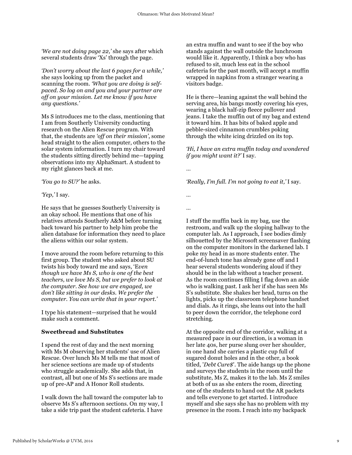*'We are not doing page 22,'* she says after which several students draw 'Xs' through the page.

*'Don't worry about the last 6 pages for a while,'*  she says looking up from the packet and scanning the room. *'What you are doing is selfpaced. So log on and you and your partner are off on your mission. Let me know if you have any questions.'*

Ms S introduces me to the class, mentioning that I am from Southerly University conducting research on the Alien Rescue program. With that, the students are *'off on their mission'*, some head straight to the alien computer, others to the solar system information. I turn my chair toward the students sitting directly behind me—tapping observations into my AlphaSmart. A student to my right glances back at me.

*'You go to SU?'* he asks.

*'Yep,'* I say.

He says that he guesses Southerly University is an okay school. He mentions that one of his relatives attends Southerly A&M before turning back toward his partner to help him probe the alien database for information they need to place the aliens within our solar system.

I move around the room before returning to this first group. The student who asked about SU twists his body toward me and says, 'E*ven though we have Ms S, who is one of the best teachers, we love Ms S, but we prefer to look at the computer. See how we are engaged, we don't like sitting in our desks. We prefer the computer. You can write that in your report.'*

I type his statement—surprised that he would make such a comment.

## **Sweetbread and Substitutes**

I spend the rest of day and the next morning with Ms M observing her students' use of Alien Rescue. Over lunch Ms M tells me that most of her science sections are made up of students who struggle academically. She adds that, in contrast, all but one of Ms S's sections are made up of pre-AP and A Honor Roll students.

I walk down the hall toward the computer lab to observe Ms S's afternoon sections. On my way, I take a side trip past the student cafeteria. I have

an extra muffin and want to see if the boy who stands against the wall outside the lunchroom would like it. Apparently, I think a boy who has refused to sit, much less eat in the school cafeteria for the past month, will accept a muffin wrapped in napkins from a stranger wearing a visitors badge.

He is there—leaning against the wall behind the serving area, his bangs mostly covering his eyes, wearing a black half-zip fleece pullover and jeans. I take the muffin out of my bag and extend it toward him. It has bits of baked apple and pebble-sized cinnamon crumbles poking through the white icing drizzled on its top.

*'Hi, I have an extra muffin today and wondered if you might want it?'* I say.

…

*'Really, I'm full. I'm not going to eat it,'* I say.

… …

I stuff the muffin back in my bag, use the restroom, and walk up the sloping hallway to the computer lab. As I approach, I see bodies dimly silhouetted by the Microsoft screensaver flashing on the computer monitors in the darkened lab. I poke my head in as more students enter. The end-of-lunch tone has already gone off and I hear several students wondering aloud if they should be in the lab without a teacher present. As the room continues filling I flag down an aide who is walking past. I ask her if she has seen Ms S's substitute. She shakes her head, turns on the lights, picks up the classroom telephone handset and dials. As it rings, she leans out into the hall to peer down the corridor, the telephone cord stretching.

At the opposite end of the corridor, walking at a measured pace in our direction, is a woman in her late 40s, her purse slung over her shoulder, in one hand she carries a plastic cup full of sugared donut holes and in the other, a book titled, '*Debt Cure\$*'. The aide hangs up the phone and surveys the students in the room until the substitute, Ms Z, makes it to the lab. Ms Z smiles at both of us as she enters the room, directing one of the students to hand out the AR packets and tells everyone to get started. I introduce myself and she says she has no problem with my presence in the room. I reach into my backpack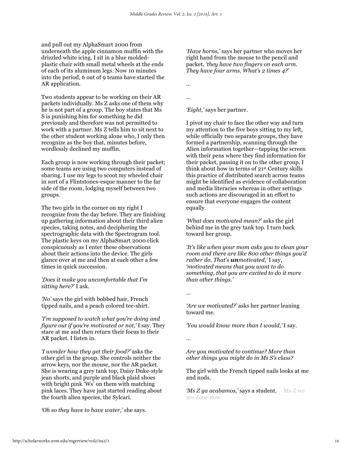and pull out my AlphaSmart 2000 from underneath the apple cinnamon muffin with the drizzled white icing. I sit in a blue moldedplastic chair with small metal wheels at the ends of each of its aluminum legs. Now 10 minutes into the period, 6 out of 9 teams have started the AR application.

Two students appear to be working on their AR packets individually. Ms Z asks one of them why he is not part of a group. The boy states that Ms S is punishing him for something he did previously and therefore was not permitted to work with a partner. Ms Z tells him to sit next to the other student working alone who, I only then recognize as the boy that, minutes before, wordlessly declined my muffin.

Each group is now working through their packet; some teams are using two computers instead of sharing. I use my legs to scoot my wheeled chair in sort of a Flintstones-esque manner to the far side of the room, lodging myself between two groups.

The two girls in the corner on my right I recognize from the day before. They are finishing up gathering information about their third alien species, taking notes, and deciphering the spectrographic data with the Spectrogram tool. The plastic keys on my AlphaSmart 2000 click conspicuously as I enter these observations about their actions into the device. The girls glance over at me and then at each other a few times in quick succession.

*'Does it make you uncomfortable that I'm sitting here?'* I ask.

*'No'* says the girl with bobbed hair, French tipped nails, and a peach colored tee-shirt.

*'I'm supposed to watch what you're doing and figure out if you're motivated or not,'* I say. They stare at me and then return their focus to their AR packet. I listen in.

*'I wonder how they get their food?'* asks the other girl in the group. She controls neither the arrow keys, nor the mouse, nor the AR packet. She is wearing a grey tank top, Daisy Duke-style jean shorts, and purple and black plaid shoes with bright pink 'Ws' on them with matching pink laces. They have just started reading about the fourth alien species, the Sylcari.

*'Oh so they have to have water,'* she says.

*'Have horns,'* says her partner who moves her right hand from the mouse to the pencil and packet, *'they have two fingers on each arm. They have four arms. What's 2 times 4?'*

...

…

*'Eight,'* says her partner.

I pivot my chair to face the other way and turn my attention to the five boys sitting to my left, while officially two separate groups, they have formed a partnership, scanning through the Alien information together—tapping the screen with their pens where they find information for their packet, passing it on to the other group. I think about how in terms of 21st Century skills this practice of distributed search across teams might be identified as evidence of collaboration and media literacies whereas in other settings such actions are discouraged in an effort to ensure that everyone engages the content equally.

*'What does motivated mean?'* asks the girl behind me in the grey tank top. I turn back toward her group.

*'It's like when your mom asks you to clean your room and there are like 800 other things you'd rather do. That's unmotivated,'* I say, *'motivated means that you want to do something, that you are excited to do it more than other things.'*

*…*

*…*

*'Are we motivated?'* asks her partner leaning toward me.

*'You would know more than I would,'* I say.

*Are you motivated to continue? More than other things you might do in Ms S's class?*

The girl with the French tipped nails looks at me and nods.

*'Ms Z ya acabamos,'* **says a student.** Ms Z we are done now.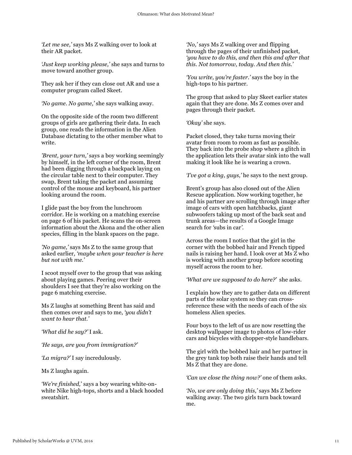*'Let me see,'* says Ms Z walking over to look at their AR packet.

*'Just keep working please,'* she says and turns to move toward another group.

They ask her if they can close out AR and use a computer program called Skeet.

*'No game. No game,'* she says walking away.

On the opposite side of the room two different groups of girls are gathering their data. In each group, one reads the information in the Alien Database dictating to the other member what to write.

*'Brent, your turn,'* says a boy working seemingly by himself, in the left corner of the room, Brent had been digging through a backpack laying on the circular table next to their computer. They swap, Brent taking the packet and assuming control of the mouse and keyboard, his partner looking around the room.

I glide past the boy from the lunchroom corridor. He is working on a matching exercise on page 6 of his packet. He scans the on-screen information about the Akona and the other alien species, filling in the blank spaces on the page.

*'No game,'* says Ms Z to the same group that asked earlier, *'maybe when your teacher is here but not with me.'* 

I scoot myself over to the group that was asking about playing games. Peering over their shoulders I see that they're also working on the page 6 matching exercise.

Ms Z laughs at something Brent has said and then comes over and says to me, *'you didn't want to hear that.'*

*'What did he say?'* I ask.

*'He says, are you from immigration?'*

*'La migra?'* I say incredulously.

Ms Z laughs again.

*'We're finished,*' says a boy wearing white-onwhite Nike high-tops, shorts and a black hooded sweatshirt.

*'No,'* says Ms Z walking over and flipping through the pages of their unfinished packet, *'you have to do this, and then this and after that this. Not tomorrow, today. And then this.'*

*'You write, you're faster.'* says the boy in the high-tops to his partner.

The group that asked to play Skeet earlier states again that they are done. Ms Z comes over and pages through their packet.

*'Okay'* she says.

Packet closed, they take turns moving their avatar from room to room as fast as possible. They back into the probe shop where a glitch in the application lets their avatar sink into the wall making it look like he is wearing a crown.

*'I've got a king, guys,'* he says to the next group.

Brent's group has also closed out of the Alien Rescue application. Now working together, he and his partner are scrolling through image after image of cars with open hatchbacks, giant subwoofers taking up most of the back seat and trunk areas—the results of a Google Image search for *'*subs in car*'*.

Across the room I notice that the girl in the corner with the bobbed hair and French tipped nails is raising her hand. I look over at Ms Z who is working with another group before scooting myself across the room to her.

*'What are we supposed to do here?'* she asks.

I explain how they are to gather data on different parts of the solar system so they can crossreference these with the needs of each of the six homeless Alien species.

Four boys to the left of us are now resetting the desktop wallpaper image to photos of low-rider cars and bicycles with chopper-style handlebars.

The girl with the bobbed hair and her partner in the grey tank top both raise their hands and tell Ms Z that they are done.

*'Can we close the thing now?'* one of them asks.

*'No, we are only doing this,'* says Ms Z before walking away. The two girls turn back toward me.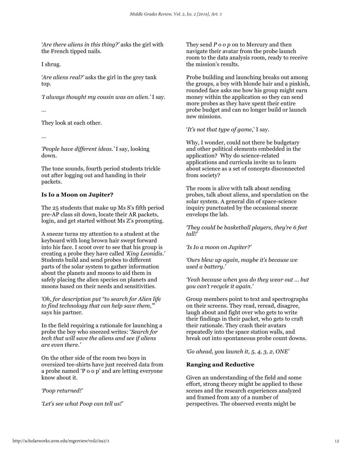*'Are there aliens in this thing?'* asks the girl with the French tipped nails.

I shrug.

*'Are aliens real?'* asks the girl in the grey tank top.

*'I always thought my cousin was an alien.'* I say.

…

They look at each other.

…

*'People have different ideas.'* I say, looking down.

The tone sounds, fourth period students trickle out after logging out and handing in their packets.

# **Is Io a Moon on Jupiter?**

The 25 students that make up Ms S's fifth period pre-AP class sit down, locate their AR packets, login, and get started without Ms Z's prompting.

A sneeze turns my attention to a student at the keyboard with long brown hair swept forward into his face. I scoot over to see that his group is creating a probe they have called *'King Leonidis.'* Students build and send probes to different parts of the solar system to gather information about the planets and moons to aid them in safely placing the alien species on planets and moons based on their needs and sensitivities.

*'Oh, for description put "to search for Alien life to find technology that can help save them,"*' says his partner.

In the field requiring a rationale for launching a probe the boy who sneezed writes: '*Search for tech that will save the aliens and see if aliens are even there.'*

On the other side of the room two boys in oversized tee-shirts have just received data from a probe named 'P o o p' and are letting everyone know about it.

*'Poop returned!'*

*'Let's see what Poop can tell us!'*

They send *P o o p* on to Mercury and then navigate their avatar from the probe launch room to the data analysis room, ready to receive the mission's results.

Probe building and launching breaks out among the groups, a boy with blonde hair and a pinkish, rounded face asks me how his group might earn money within the application so they can send more probes as they have spent their entire probe budget and can no longer build or launch new missions.

'*It's not that type of game*,' I say.

Why, I wonder, could not there be budgetary and other political elements embedded in the application? Why do science-related applications and curricula invite us to learn about science as a set of concepts disconnected from society?

The room is alive with talk about sending probes, talk about aliens, and speculation on the solar system. A general din of space-science inquiry punctuated by the occasional sneeze envelops the lab.

*'They could be basketball players, they're 6 feet tall!'*

*'Is Io a moon on Jupiter?'*

*'Ours blew up again, maybe it's because we used a battery.'*

*'Yeah because when you do they wear out ... but you can't recycle it again.'*

Group members point to text and spectrographs on their screens. They read, reread, disagree, laugh about and fight over who gets to write their findings in their packet, who gets to craft their rationale. They crash their avatars repeatedly into the space station walls, and break out into spontaneous probe count downs.

*'Go ahead, you launch it, 5, 4, 3, 2, ONE'*

# **Ranging and Reductive**

Given an understanding of the field and some effort, strong theory might be applied to these scenes and the research experiences analyzed and framed from any of a number of perspectives. The observed events might be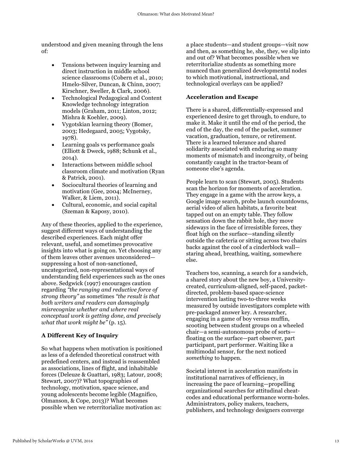understood and given meaning through the lens of:

- Tensions between inquiry learning and direct instruction in middle school science classrooms (Cobern et al., 2010; Hmelo-Silver, Duncan, & Chinn, 2007; Kirschner, Sweller, & Clark, 2006).
- Technological Pedagogical and Content Knowledge technology integration models (Graham, 2011; Linton, 2012; Mishra & Koehler, 2009).
- Vygotskian learning theory (Bomer, 2003; Hedegaard, 2005; Vygotsky, 1978).
- Learning goals vs performance goals (Elliott & Dweck, 1988; Schunk et al., 2014).
- Interactions between middle school classroom climate and motivation (Ryan & Patrick, 2001).
- Sociocultural theories of learning and motivation (Gee, 2004; McInerney, Walker, & Liem, 2011).
- Cultural, economic, and social capital (Szeman & Kaposy, 2010).

Any of these theories, applied to the experience, suggest different ways of understanding the described experiences. Each might offer relevant, useful, and sometimes provocative insights into what is going on. Yet choosing any of them leaves other avenues unconsidered suppressing a host of non-sanctioned, uncategorized, non-representational ways of understanding field experiences such as the ones above. Sedgwick (1997) encourages caution regarding *"the ranging and reductive force of strong theory"* as sometimes *"the result is that both writers and readers can damagingly misrecognize whether and where real conceptual work is getting done, and precisely what that work might be"* (p. 15).

# **A Different Key of Inquiry**

So what happens when motivation is positioned as less of a defended theoretical construct with predefined centers, and instead is reassembled as associations, lines of flight, and inhabitable forces (Deleuze & Guattari, 1983; Latour, 2008; Stewart, 2007)? What topographies of technology, motivation, space science, and young adolescents become legible (Magnifico, Olmanson, & Cope, 2013)? What becomes possible when we reterritorialize motivation as:

a place students—and student groups—visit now and then, as something he, she, they, we slip into and out of? What becomes possible when we reterritorialize students as something more nuanced than generalized developmental nodes to which motivational, instructional, and technological overlays can be applied?

# **Acceleration and Escape**

There is a shared, differentially-expressed and experienced desire to get through, to endure, to make it. Make it until the end of the period, the end of the day, the end of the packet, summer vacation, graduation, tenure, or retirement. There is a learned tolerance and shared solidarity associated with enduring so many moments of mismatch and incongruity, of being constantly caught in the tractor-beam of someone else's agenda.

People learn to scan (Stewart, 2005). Students scan the horizon for moments of acceleration. They engage in a game with the arrow keys, a Google image search, probe launch countdowns, aerial video of alien habitats, a favorite beat tapped out on an empty table. They follow sensation down the rabbit hole, they move sideways in the face of irresistible forces, they float high on the surface—standing silently outside the cafeteria or sitting across two chairs backs against the cool of a cinderblock wall staring ahead, breathing, waiting, somewhere else.

Teachers too, scanning, a search for a sandwich, a shared story about the new boy, a Universitycreated, curriculum-aligned, self-paced, packetdirected, problem-based space-science intervention lasting two-to-three weeks measured by outside investigators complete with pre-packaged answer key. A researcher, engaging in a game of boy versus muffin, scooting between student groups on a wheeled chair—a semi-autonomous probe of sorts floating on the surface—part observer, part participant, part performer. Waiting like a multimodal sensor, for the next noticed *something* to happen.

Societal interest in acceleration manifests in institutional narratives of efficiency, in increasing the pace of learning—propelling organizational searches for attitudinal cheatcodes and educational performance worm-holes. Administrators, policy makers, teachers, publishers, and technology designers converge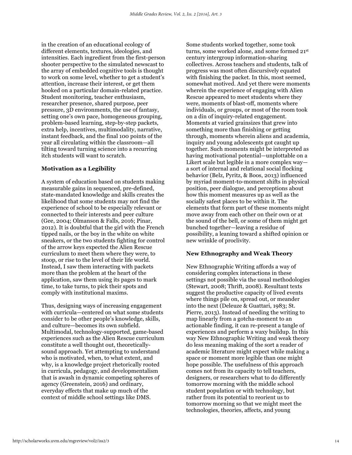in the creation of an educational ecology of different elements, textures, ideologies, and intensities. Each ingredient from the first-person shooter perspective to the simulated newscast to the array of embedded cognitive tools is thought to work on some level, whether to get a student's attention, increase their interest, or get them hooked on a particular domain-related practice. Student monitoring, teacher enthusiasm, researcher presence, shared purpose, peer pressure, 3D environments, the use of fantasy, setting one's own pace, homogeneous grouping, problem-based learning, step-by-step packets, extra help, incentives, multimodality, narrative, instant feedback, and the final 100 points of the year all circulating within the classroom—all tilting toward turning science into a recurring itch students will want to scratch.

#### **Motivation as a Legibility**

A system of education based on students making measurable gains in sequenced, pre-defined, state-mandated knowledge and skills creates the likelihood that some students may not find the experience of school to be especially relevant or connected to their interests and peer culture (Gee, 2004; Olmanson & Falls, 2016; Pinar, 2012). It is doubtful that the girl with the French tipped nails, or the boy in the white on white sneakers, or the two students fighting for control of the arrow keys expected the Alien Rescue curriculum to meet them where they were, to stoop, or rise to the level of their life world. Instead, I saw them interacting with packets more than the problem at the heart of the application, saw them using its pages to mark time, to take turns, to pick their spots and comply with institutional maxims.

Thus, designing ways of increasing engagement with curricula—centered on what some students consider to be other people's knowledge, skills, and culture—becomes its own subfield. Multimodal, technology-supported, game-based experiences such as the Alien Rescue curriculum constitute a well thought out, theoreticallysound approach. Yet attempting to understand who is motivated, when, to what extent, and why, is a knowledge project rhetorically rooted in curricula, pedagogy, and developmentalism that is awash in dynamic competing spheres of agency (Greenstein, 2016) and ordinary, everyday effects that make up much of the context of middle school settings like DMS.

Some students worked together, some took turns, some worked alone, and some formed 21st century intergroup information-sharing collectives. Across teachers and students, talk of progress was most often discursively equated with finishing the packet. In this, most seemed, somewhat motived. And yet there were moments wherein the experience of engaging with Alien Rescue appeared to meet students where they were, moments of blast-off, moments where individuals, or groups, or most of the room took on a din of inquiry-related engagement. Moments at varied grainsizes that grew into something more than finishing or getting through, moments wherein aliens and academia, inquiry and young adolescents got caught up together. Such moments might be interpreted as having motivational potential—unplottable on a Likert scale but legible in a more complex way a sort of internal and relational social flocking behavior (Belz, Pyritz, & Boos, 2013) influenced by myriad moment-to-moment shifts in physical position, peer dialogue, and perceptions about how this moment measures up as well as the socially safest places to be within it. The elements that form part of these moments might move away from each other on their own or at the sound of the bell, or some of them might get bunched together—leaving a residue of possibility, a leaning toward a shifted opinion or new wrinkle of proclivity.

#### **New Ethnography and Weak Theory**

New Ethnographic Writing affords a way of considering complex interactions in these settings not possible via the usual methodologies (Stewart, 2008; Thrift, 2008). Resultant texts suggest the productive capacity of lived events where things pile on, spread out, or meander into the next (Deleuze & Guattari, 1983; St. Pierre, 2013). Instead of needing the writing to map linearly from a gotcha-moment to an actionable finding, it can re-present a tangle of experiences and perform a waxy buildup. In this way New Ethnographic Writing and weak theory do less meaning making of the sort a reader of academic literature might expect while making a space or moment more legible than one might hope possible. The usefulness of this approach comes not from its capacity to tell teachers, designers, or researchers what to do differently tomorrow morning with the middle school student population or with technology, but rather from its potential to reorient us to tomorrow morning so that we might meet the technologies, theories, affects, and young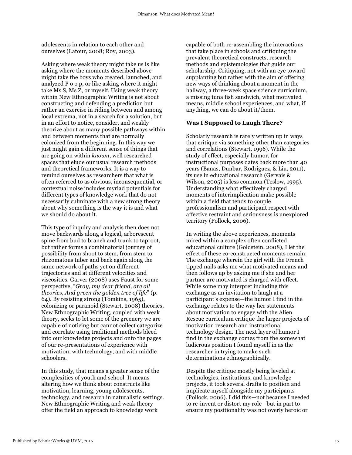adolescents in relation to each other and ourselves (Latour, 2008; Roy, 2003).

Asking where weak theory might take us is like asking where the moments described above might take the boys who created, launched, and analyzed P o o p, or like asking where it might take Ms S, Ms Z, or myself. Using weak theory within New Ethnographic Writing is not about constructing and defending a prediction but rather an exercise in riding between and among local extrema, not in a search for a solution, but in an effort to notice, consider, and weakly theorize about as many possible pathways within and between moments that are normally colonized from the beginning. In this way we just might gain a different sense of things that are going on within *known*, well researched spaces that elude our usual research methods and theoretical frameworks. It is a way to remind ourselves as researchers that what is often referred to as obvious, inconsequential, or contextual noise includes myriad potentials for different types of knowledge work that do not necessarily culminate with a new strong theory about why something is the way it is and what we should do about it.

This type of inquiry and analysis then does not move backwards along a logical, arborescent spine from bud to branch and trunk to taproot, but rather forms a combinatorial journey of possibility from shoot to stem, from stem to rhizomatous tuber and back again along the same network of paths yet on different trajectories and at different velocities and viscosities. Garver (2008) uses Faust for some perspective, "*Gray, my dear friend, are all theories, And green the golden tree of life*" (p. 64). By resisting strong (Tomkins, 1965), colonizing or paranoid (Stewart, 2008) theories, New Ethnographic Writing, coupled with weak theory, seeks to let some of the greenery we are capable of noticing but cannot collect categorize and correlate using traditional methods bleed into our knowledge projects and onto the pages of our re-presentations of experience with motivation, with technology, and with middle schoolers.

In this study, that means a greater sense of the complexities of youth and school. It means altering how we think about constructs like motivation, learning, young adolescents, technology, and research in naturalistic settings. New Ethnographic Writing and weak theory offer the field an approach to knowledge work

capable of both re-assembling the interactions that take place in schools and critiquing the prevalent theoretical constructs, research methods and epistemologies that guide our scholarship. Critiquing, not with an eye toward supplanting but rather with the aim of offering new ways of thinking about a moment in the hallway, a three-week space science curriculum, a missing tuna fish sandwich, what motivated means, middle school experiences, and what, if anything, we can do about it/them.

## **Was I Supposed to Laugh There?**

Scholarly research is rarely written up in ways that critique via something other than categories and correlations (Stewart, 1996). While the study of effect, especially humor, for instructional purposes dates back more than 40 years (Banas, Dunbar, Rodriguez, & Liu, 2011), its use in educational research (Gervais & Wilson, 2005) is less common (Teslow, 1995). Understanding what effectively charged moments of interimplication make possible within a field that tends to couple professionalism and participant respect with affective restraint and seriousness is unexplored territory (Pollock, 2006).

In writing the above experiences, moments mired within a complex often conflicted educational culture (Goldstein, 2008), I let the effect of these co-constructed moments remain. The exchange wherein the girl with the French tipped nails asks me what motivated means and then follows up by asking me if she and her partner are motivated is charged with effect. While some may interpret including this exchange as an invitation to laugh at a participant's expense—the humor I find in the exchange relates to the way her statements about motivation to engage with the Alien Rescue curriculum critique the larger projects of motivation research and instructional technology design. The next layer of humor I find in the exchange comes from the somewhat ludicrous position I found myself in as the researcher in trying to make such determinations ethnographically.

Despite the critique mostly being leveled at technologies, institutions, and knowledge projects, it took several drafts to position and implicate myself alongside my participants (Pollock, 2006). I did this—not because I needed to re-invent or distort my role—but in part to ensure my positionality was not overly heroic or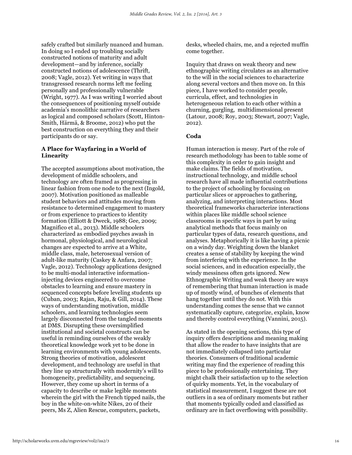safely crafted but similarly nuanced and human. In doing so I ended up troubling socially constructed notions of maturity and adult development—and by inference, socially constructed notions of adolescence (Thrift, 2008; Vagle, 2012). Yet writing in ways that transgressed research norms left me feeling personally and professionally vulnerable (Wright, 1977). As I was writing I worried about the consequences of positioning myself outside academia's monolithic narrative of researchers as logical and composed scholars (Scott, Hinton-Smith, Härmä, & Broome, 2012) who put the best construction on everything they and their participants do or say.

# **A Place for Wayfaring in a World of Linearity**

The accepted assumptions about motivation, the development of middle schoolers, and technology are often framed as progressing in linear fashion from one node to the next (Ingold, 2007). Motivation positioned as malleable student behaviors and attitudes moving from resistance to determined engagement to mastery or from experience to practices to identity formation (Elliott & Dweck, 1988; Gee, 2009; Magnifico et al., 2013). Middle schoolers characterized as embodied psyches awash in hormonal, physiological, and neurological changes are expected to arrive at a White, middle class, male, heterosexual version of adult-like maturity (Caskey & Anfara, 2007; Vagle, 2012). Technology applications designed to be multi-modal interactive informationinjecting devices engineered to overcome obstacles to learning and ensure mastery in sequenced concepts before leveling students up (Cuban, 2003; Rajan, Raju, & Gill, 2014). These ways of understanding motivation, middle schoolers, and learning technologies seem largely disconnected from the tangled moments at DMS. Disrupting these oversimplified institutional and societal constructs can be useful in reminding ourselves of the weakly theoretical knowledge work yet to be done in learning environments with young adolescents. Strong theories of motivation, adolescent development, and technology are useful in that they line up structurally with modernity's will to homogeneity, predictability, and sequencing. However, they come up short in terms of a capacity to describe or make legible moments wherein the girl with the French tipped nails, the boy in the white-on-white Nikes, 20 of their peers, Ms Z, Alien Rescue, computers, packets,

desks, wheeled chairs, me, and a rejected muffin come together.

Inquiry that draws on weak theory and new ethnographic writing circulates as an alternative to the will in the social sciences to characterize along several vectors and then move on. In this piece, I have worked to consider people, curricula, effect, and technologies in heterogeneous relation to each other within a churning, gurgling, multidimensional present (Latour, 2008; Roy, 2003; Stewart, 2007; Vagle, 2012).

## **Coda**

Human interaction is messy. Part of the role of research methodology has been to table some of this complexity in order to gain insight and make claims. The fields of motivation, instructional technology, and middle school research have all made influential contributions to the project of schooling by focusing on particular slices or approaches to gathering, analyzing, and interpreting interactions. Most theoretical frameworks characterize interactions within places like middle school science classrooms in specific ways in part by using analytical methods that focus mainly on particular types of data, research questions, and analyses. Metaphorically it is like having a picnic on a windy day. Weighting down the blanket creates a sense of stability by keeping the wind from interfering with the experience. In the social sciences, and in education especially, the windy messiness often gets ignored. New Ethnographic Writing and weak theory are ways of remembering that human interaction is made up of mostly wind, of bunches of elements that hang together until they do not. With this understanding comes the sense that we cannot systematically capture, categorize, explain, know and thereby control everything (Vannini, 2015).

As stated in the opening sections, this type of inquiry offers descriptions and meaning making that allow the reader to have insights that are not immediately collapsed into particular theories. Consumers of traditional academic writing may find the experience of reading this piece to be professionally entertaining. They might chalk their satisfaction up to the selection of quirky moments. Yet, in the vocabulary of statistical measurement, I suggest these are not outliers in a sea of ordinary moments but rather that moments typically coded and classified as ordinary are in fact overflowing with possibility.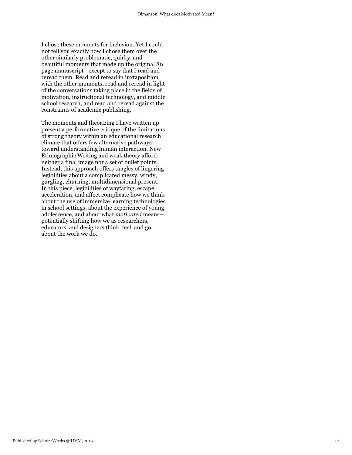I chose these moments for inclusion. Yet I could not tell you exactly how I chose them over the other similarly problematic, quirky, and beautiful moments that made up the original 80 page manuscript—except to say that I read and reread them. Read and reread in juxtaposition with the other moments, read and reread in light of the conversations taking place in the fields of motivation, instructional technology, and middle school research, and read and reread against the constraints of academic publishing.

The moments and theorizing I have written up present a performative critique of the limitations of strong theory within an educational research climate that offers few alternative pathways toward understanding human interaction. New Ethnographic Writing and weak theory afford neither a final image nor a set of bullet points. Instead, this approach offers tangles of lingering legibilities about a complicated messy, windy, gurgling, churning, multidimensional present. In this piece, legibilities of wayfaring, escape, acceleration, and affect complicate how we think about the use of immersive learning technologies in school settings, about the experience of young adolescence, and about what *motivated* means potentially shifting how we as researchers, educators, and designers think, feel, and go about the work we do.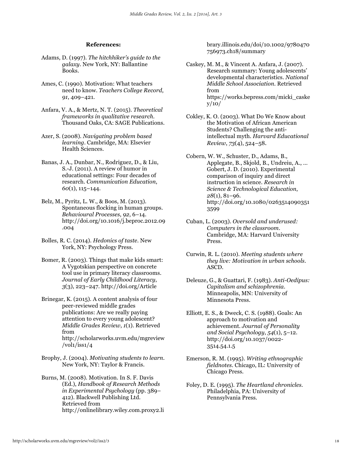#### **References:**

- Adams, D. (1997). *The hitchhiker's guide to the galaxy*. New York, NY: Ballantine Books.
- Ames, C. (1990). Motivation: What teachers need to know. *Teachers College Record*, *91*, 409–421.
- Anfara, V. A., & Mertz, N. T. (2015). *Theoretical frameworks in qualitative research*. Thousand Oaks, CA: SAGE Publications.
- Azer, S. (2008). *Navigating problem based learning*. Cambridge, MA: Elsevier Health Sciences.
- Banas, J. A., Dunbar, N., Rodriguez, D., & Liu, S.-J. (2011). A review of humor in educational settings: Four decades of research. *Communication Education*, *60*(1), 115–144.
- Belz, M., Pyritz, L. W., & Boos, M. (2013). Spontaneous flocking in human groups. *Behavioural Processes*, *92*, 6–14. http://doi.org/10.1016/j.beproc.2012.09 .004
- Bolles, R. C. (2014). *Hedonics of taste*. New York, NY: Psychology Press.
- Bomer, R. (2003). Things that make kids smart: A Vygotskian perspective on concrete tool use in primary literacy classrooms. *Journal of Early Childhood Literacy*, *3*(3), 223–247. http://doi.org/Article
- Brinegar, K. (2015). A content analysis of four peer-reviewed middle grades publications: Are we really paying attention to every young adolescent? *Middle Grades Review*, *1*(1). Retrieved from http://scholarworks.uvm.edu/mgreview  $/vol1/iss1/4$
- Brophy, J. (2004). *Motivating students to learn*. New York, NY: Taylor & Francis.
- Burns, M. (2008). Motivation. In S. F. Davis (Ed.), *Handbook of Research Methods in Experimental Psychology* (pp. 389– 412). Blackwell Publishing Ltd. Retrieved from http://onlinelibrary.wiley.com.proxy2.li

brary.illinois.edu/doi/10.1002/9780470 756973.ch18/summary

- Caskey, M. M., & Vincent A. Anfara, J. (2007). Research summary: Young adolescents' developmental characteristics. *National Middle School Association*. Retrieved from https://works.bepress.com/micki\_caske y/10/
- Cokley, K. O. (2003). What Do We Know about the Motivation of African American Students? Challenging the antiintellectual myth. *Harvard Educational Review*, *73*(4), 524–58.
- Cobern, W. W., Schuster, D., Adams, B., Applegate, B., Skjold, B., Undreiu, A., … Gobert, J. D. (2010). Experimental comparison of inquiry and direct instruction in science. *Research in Science & Technological Education*, *28*(1), 81–96. http://doi.org/10.1080/0263514090351 3599
- Cuban, L. (2003). *Oversold and underused: Computers in the classroom*. Cambridge, MA: Harvard University Press.
- Curwin, R. L. (2010). *Meeting students where they live: Motivation in urban schools*. ASCD.
- Deleuze, G., & Guattari, F. (1983). *Anti-Oedipus: Capitalism and schizophrenia*. Minneapolis, MN: University of Minnesota Press.
- Elliott, E. S., & Dweck, C. S. (1988). Goals: An approach to motivation and achievement. *Journal of Personality and Social Psychology*, *54*(1), 5–12. http://doi.org/10.1037/0022- 3514.54.1.5
- Emerson, R. M. (1995). *Writing ethnographic fieldnotes*. Chicago, IL: University of Chicago Press.
- Foley, D. E. (1995). *The Heartland chronicles*. Philadelphia, PA: University of Pennsylvania Press.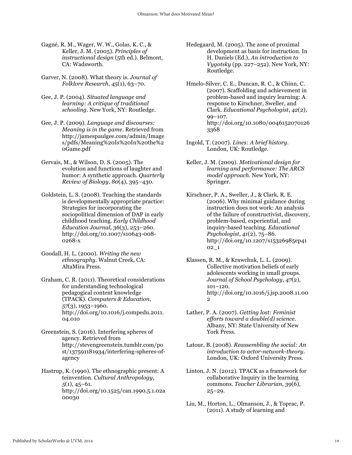- Gagné, R. M., Wager, W. W., Golas, K. C., & Keller, J. M. (2005). *Principles of instructional design* (5th ed.). Belmont, CA: Wadsworth.
- Garver, N. (2008). What theory is. *Journal of Folklore Research*, *45*(1), 63–70.
- Gee, J. P. (2004). *Situated language and learning: A critique of traditional schooling*. New York, NY: Routledge.
- Gee, J. P. (2009). *Language and discourses: Meaning is in the game*. Retrieved from http://jamespaulgee.com/admin/Image s/pdfs/Meaning%20Is%20In%20the%2 0Game.pdf
- Gervais, M., & Wilson, D. S. (2005). The evolution and functions of laughter and humor: A synthetic approach. *Quarterly Review of Biology*, *80*(4), 395–430.
- Goldstein, L. S. (2008). Teaching the standards is developmentally appropriate practice: Strategies for incorporating the sociopolitical dimension of DAP in early childhood teaching. *Early Childhood Education Journal*, *36*(3), 253–260. http://doi.org/10.1007/s10643-008- 0268-x
- Goodall, H. L. (2000). *Writing the new ethnography*. Walnut Creek, CA: AltaMira Press.
- Graham, C. R. (2011). Theoretical considerations for understanding technological pedagogical content knowledge (TPACK). *Computers & Education*, *57*(3), 1953–1960. http://doi.org/10.1016/j.compedu.2011. 04.010
- Greenstein, S. (2016). Interfering spheres of agency. Retrieved from http://stevengreenstein.tumblr.com/po st/137591181934/interfering-spheres-ofagency
- Hastrup, K. (1990). The ethnographic present: A teinvention. *Cultural Anthropology*, *5*(1), 45–61. http://doi.org/10.1525/can.1990.5.1.02a 00030
- Hedegaard, M. (2005). The zone of proximal development as basis for instruction. In H. Daniels (Ed.), *An introduction to Vygotsky* (pp. 227–252). New York, NY: Routledge.
- Hmelo-Silver, C. E., Duncan, R. C., & Chinn, C. (2007). Scaffolding and achievement in problem-based and inquiry learning: A response to Kirschner, Sweller, and Clark. *Educational Psychologist*, *42*(2), 99–107. http://doi.org/10.1080/0046152070126 3368
- Ingold, T. (2007). *Lines: A brief history*. London, UK: Routledge.
- Keller, J. M. (2009). *Motivational design for learning and performance: The ARCS model approach*. New York, NY: Springer.
- Kirschner, P. A., Sweller, J., & Clark, R. E. (2006). Why minimal guidance during instruction does not work: An analysis of the failure of constructivist, discovery, problem-based, experiential, and inquiry-based teaching. *Educational Psychologist*, *41*(2), 75–86. http://doi.org/10.1207/s15326985ep41 02\_1
- Klassen, R. M., & Krawchuk, L. L. (2009). Collective motivation beliefs of early adolescents working in small groups. *Journal of School Psychology*, *47*(2), 101–120. http://doi.org/10.1016/j.jsp.2008.11.00 2
- Lather, P. A. (2007). *Getting lost: Feminist efforts toward a double(d) science*. Albany, NY: State University of New York Press.
- Latour, B. (2008). *Reassembling the social: An introduction to actor-network-theory*. London, UK: Oxford University Press.
- Linton, J. N. (2012). TPACK as a framework for collaborative Inquiry in the learning commons. *Teacher Librarian*, *39*(6), 25–29.
- Liu, M., Horton, L., Olmanson, J., & Toprac, P. (2011). A study of learning and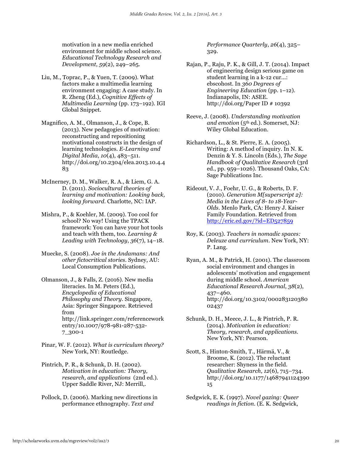motivation in a new media enriched environment for middle school science. *Educational Technology Research and Development*, *59*(2), 249–265.

- Liu, M., Toprac, P., & Yuen, T. (2009). What factors make a multimedia learning environment engaging: A case study. In R. Zheng (Ed.), *Cognitive Effects of Multimedia Learning* (pp. 173–192). IGI Global Snippet.
- Magnifico, A. M., Olmanson, J., & Cope, B. (2013). New pedagogies of motivation: reconstructing and repositioning motivational constructs in the design of learning technologies. *E-Learning and Digital Media*, *10*(4), 483–511. http://doi.org/10.2304/elea.2013.10.4.4 83
- McInerney, D. M., Walker, R. A., & Liem, G. A. D. (2011). *Sociocultural theories of learning and motivation: Looking back, looking forward*. Charlotte, NC: IAP.
- Mishra, P., & Koehler, M. (2009). Too cool for school? No way! Using the TPACK framework: You can have your hot tools and teach with them, too. *Learning & Leading with Technology*, *36*(7), 14–18.
- Muecke, S. (2008). *Joe in the Andamans: And other fictocritical stories*. Sydney, AU: Local Consumption Publications.
- Olmanson, J., & Falls, Z. (2016). New media literacies. In M. Peters (Ed.), *Encyclopedia of Educational Philosophy and Theory*. Singapore, Asia: Springer Singapore. Retrieved from http://link.springer.com/referencework entry/10.1007/978-981-287-532- 7\_300-1
- Pinar, W. F. (2012). *What is curriculum theory?* New York, NY: Routledge.
- Pintrich, P. R., & Schunk, D. H. (2002). *Motivation in education: Theory, research, and applications* (2nd ed.). Upper Saddle River, NJ: Merrill,.
- Pollock, D. (2006). Marking new directions in performance ethnography. *Text and*

*Performance Quarterly*, *26*(4), 325– 329.

- Rajan, P., Raju, P. K., & Gill, J. T. (2014). Impact of engineering design serious game on student learning in a k-12 cur...: ebscohost. In *360 Degrees of Engineering Education* (pp. 1–12). Indianapolis, IN: ASEE. http://doi.org/Paper ID # 10392
- Reeve, J. (2008). *Understanding motivation and emotion* (5th ed.). Somerset, NJ: Wiley Global Education.
- Richardson, L., & St. Pierre, E. A. (2005). Writing: A method of inquiry. In N. K. Denzin & Y. S. Lincoln (Eds.), *The Sage Handbook of Qualitative Research* (3rd ed., pp. 959–1026). Thousand Oaks, CA: Sage Publications Inc.
- Rideout, V. J., Foehr, U. G., & Roberts, D. F. (2010). *Generation M[superscript 2]: Media in the Lives of 8- to 18-Year-Olds*. Menlo Park, CA: Henry J. Kaiser Family Foundation. Retrieved from http://eric.ed.gov/?id=ED527859
- Roy, K. (2003). *Teachers in nomadic spaces: Deleuze and curriculum*. New York, NY: P. Lang.
- Ryan, A. M., & Patrick, H. (2001). The classroom social environment and changes in adolescents' motivation and engagement during middle school. *American Educational Research Journal*, *38*(2), 437–460. http://doi.org/10.3102/000283120380 02437
- Schunk, D. H., Meece, J. L., & Pintrich, P. R. (2014). *Motivation in education: Theory, research, and applications*. New York, NY: Pearson.
- Scott, S., Hinton-Smith, T., Härmä, V., & Broome, K. (2012). The reluctant researcher: Shyness in the field. *Qualitative Research*, *12*(6), 715–734. http://doi.org/10.1177/14687941124390 15
- Sedgwick, E. K. (1997). *Novel gazing: Queer readings in fiction*. (E. K. Sedgwick,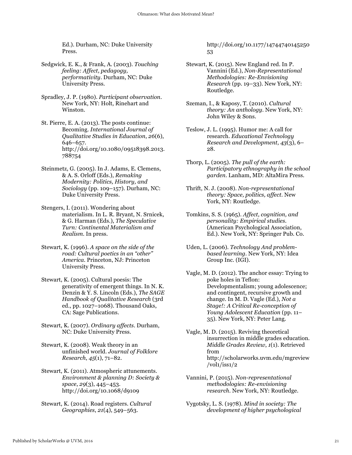Ed.). Durham, NC: Duke University Press.

- Sedgwick, E. K., & Frank, A. (2003). *Touching feeling: Affect, pedagogy, performativity*. Durham, NC: Duke University Press.
- Spradley, J. P. (1980). *Participant observation*. New York, NY: Holt, Rinehart and Winston.
- St. Pierre, E. A. (2013). The posts continue: Becoming. *International Journal of Qualitative Studies in Education*, *26*(6), 646–657. http://doi.org/10.1080/09518398.2013. 788754
- Steinmetz, G. (2005). In J. Adams, E. Clemens, & A. S. Orloff (Eds.), *Remaking Modernity: Politics, History, and Sociology* (pp. 109–157). Durham, NC: Duke University Press.
- Stengers, I. (2011). Wondering about materialism. In L. R. Bryant, N. Srnicek, & G. Harman (Eds.), *The Speculative Turn: Continental Materialism and Realism*. In press.
- Stewart, K. (1996). *A space on the side of the road: Cultural poetics in an "other" America*. Princeton, NJ: Princeton University Press.
- Stewart, K. (2005). Cultural poesis: The generativity of emergent things. In N. K. Denzin & Y. S. Lincoln (Eds.), *The SAGE Handbook of Qualitative Research* (3rd ed., pp. 1027–1068). Thousand Oaks, CA: Sage Publications.
- Stewart, K. (2007). *Ordinary affects*. Durham, NC: Duke University Press.

Stewart, K. (2008). Weak theory in an unfinished world. *Journal of Folklore Research*, *45*(1), 71–82.

- Stewart, K. (2011). Atmospheric attunements. *Environment & planning D: Society & space*, *29*(3), 445–453. http://doi.org/10.1068/d9109
- Stewart, K. (2014). Road registers. *Cultural Geographies*, *21*(4), 549–563.

http://doi.org/10.1177/14744740145250 53

- Stewart, K. (2015). New England red. In P. Vannini (Ed.), *Non-Representational Methodologies: Re-Envisioning Research* (pp. 19–33). New York, NY: Routledge.
- Szeman, I., & Kaposy, T. (2010). *Cultural theory: An anthology*. New York, NY: John Wiley & Sons.
- Teslow, J. L. (1995). Humor me: A call for research. *Educational Technology Research and Development*, *43*(3), 6– 28.
- Thorp, L. (2005). *The pull of the earth: Participatory ethnography in the school garden*. Lanham, MD: AltaMira Press.
- Thrift, N. J. (2008). *Non-representational theory: Space, politics, affect*. New York, NY: Routledge.
- Tomkins, S. S. (1965). *Affect, cognition, and personality: Empirical studies*. (American Psychological Association, Ed.). New York, NY: Springer Pub. Co.
- Uden, L. (2006). *Technology And problembased learning*. New York, NY: Idea Group Inc. (IGI).
- Vagle, M. D. (2012). The anchor essay: Trying to poke holes in Teflon: Developmentalism; young adolescence; and contingent, recursive growth and change. In M. D. Vagle (Ed.), *Not a Stage!: A Critical Re-conception of Young Adolescent Education* (pp. 11– 35). New York, NY: Peter Lang.
- Vagle, M. D. (2015). Reviving theoretical insurrection in middle grades education. *Middle Grades Review*, *1*(1). Retrieved from http://scholarworks.uvm.edu/mgreview  $/vol1/iss1/2$
- Vannini, P. (2015). *Non-representational methodologies: Re-envisioning research*. New York, NY: Routledge.
- Vygotsky, L. S. (1978). *Mind in society: The development of higher psychological*